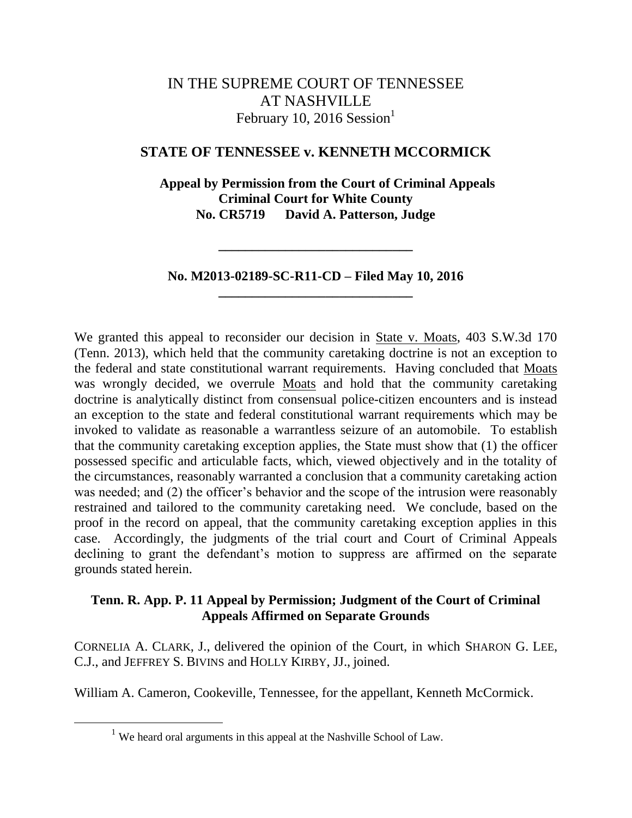# IN THE SUPREME COURT OF TENNESSEE AT NASHVILLE February 10, 2016 Session $<sup>1</sup>$ </sup>

## **STATE OF TENNESSEE v. KENNETH MCCORMICK**

 **Appeal by Permission from the Court of Criminal Appeals Criminal Court for White County No. CR5719 David A. Patterson, Judge**

**No. M2013-02189-SC-R11-CD – Filed May 10, 2016 \_\_\_\_\_\_\_\_\_\_\_\_\_\_\_\_\_\_\_\_\_\_\_\_\_\_\_\_\_**

**\_\_\_\_\_\_\_\_\_\_\_\_\_\_\_\_\_\_\_\_\_\_\_\_\_\_\_\_\_**

We granted this appeal to reconsider our decision in State v. Moats, 403 S.W.3d 170 (Tenn. 2013), which held that the community caretaking doctrine is not an exception to the federal and state constitutional warrant requirements. Having concluded that Moats was wrongly decided, we overrule Moats and hold that the community caretaking doctrine is analytically distinct from consensual police-citizen encounters and is instead an exception to the state and federal constitutional warrant requirements which may be invoked to validate as reasonable a warrantless seizure of an automobile. To establish that the community caretaking exception applies, the State must show that (1) the officer possessed specific and articulable facts, which, viewed objectively and in the totality of the circumstances, reasonably warranted a conclusion that a community caretaking action was needed; and (2) the officer's behavior and the scope of the intrusion were reasonably restrained and tailored to the community caretaking need. We conclude, based on the proof in the record on appeal, that the community caretaking exception applies in this case.Accordingly, the judgments of the trial court and Court of Criminal Appeals declining to grant the defendant's motion to suppress are affirmed on the separate grounds stated herein.

## **Tenn. R. App. P. 11 Appeal by Permission; Judgment of the Court of Criminal Appeals Affirmed on Separate Grounds**

CORNELIA A. CLARK, J., delivered the opinion of the Court, in which SHARON G. LEE, C.J., and JEFFREY S. BIVINS and HOLLY KIRBY, JJ., joined.

William A. Cameron, Cookeville, Tennessee, for the appellant, Kenneth McCormick.

<sup>&</sup>lt;sup>1</sup> We heard oral arguments in this appeal at the Nashville School of Law.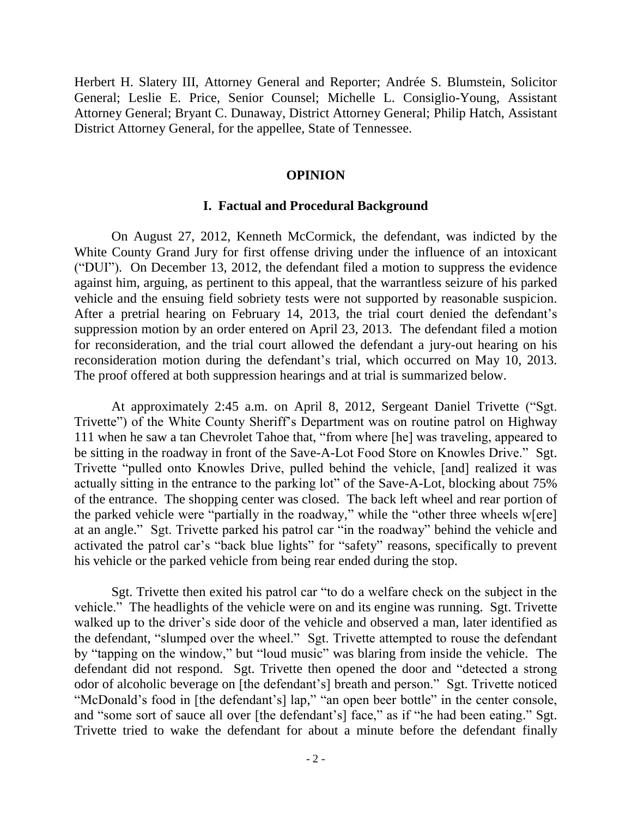Herbert H. Slatery III, Attorney General and Reporter; Andrée S. Blumstein, Solicitor General; Leslie E. Price, Senior Counsel; Michelle L. Consiglio-Young, Assistant Attorney General; Bryant C. Dunaway, District Attorney General; Philip Hatch, Assistant District Attorney General, for the appellee, State of Tennessee.

### **OPINION**

#### **I. Factual and Procedural Background**

On August 27, 2012, Kenneth McCormick, the defendant, was indicted by the White County Grand Jury for first offense driving under the influence of an intoxicant ("DUI"). On December 13, 2012, the defendant filed a motion to suppress the evidence against him, arguing, as pertinent to this appeal, that the warrantless seizure of his parked vehicle and the ensuing field sobriety tests were not supported by reasonable suspicion. After a pretrial hearing on February 14, 2013, the trial court denied the defendant"s suppression motion by an order entered on April 23, 2013. The defendant filed a motion for reconsideration, and the trial court allowed the defendant a jury-out hearing on his reconsideration motion during the defendant"s trial, which occurred on May 10, 2013. The proof offered at both suppression hearings and at trial is summarized below.

At approximately 2:45 a.m. on April 8, 2012, Sergeant Daniel Trivette ("Sgt. Trivette") of the White County Sheriff"s Department was on routine patrol on Highway 111 when he saw a tan Chevrolet Tahoe that, "from where [he] was traveling, appeared to be sitting in the roadway in front of the Save-A-Lot Food Store on Knowles Drive." Sgt. Trivette "pulled onto Knowles Drive, pulled behind the vehicle, [and] realized it was actually sitting in the entrance to the parking lot" of the Save-A-Lot, blocking about 75% of the entrance. The shopping center was closed. The back left wheel and rear portion of the parked vehicle were "partially in the roadway," while the "other three wheels w[ere] at an angle." Sgt. Trivette parked his patrol car "in the roadway" behind the vehicle and activated the patrol car"s "back blue lights" for "safety" reasons, specifically to prevent his vehicle or the parked vehicle from being rear ended during the stop.

Sgt. Trivette then exited his patrol car "to do a welfare check on the subject in the vehicle." The headlights of the vehicle were on and its engine was running. Sgt. Trivette walked up to the driver's side door of the vehicle and observed a man, later identified as the defendant, "slumped over the wheel." Sgt. Trivette attempted to rouse the defendant by "tapping on the window," but "loud music" was blaring from inside the vehicle. The defendant did not respond. Sgt. Trivette then opened the door and "detected a strong odor of alcoholic beverage on [the defendant"s] breath and person." Sgt. Trivette noticed "McDonald's food in [the defendant's] lap," "an open beer bottle" in the center console, and "some sort of sauce all over [the defendant's] face," as if "he had been eating." Sgt. Trivette tried to wake the defendant for about a minute before the defendant finally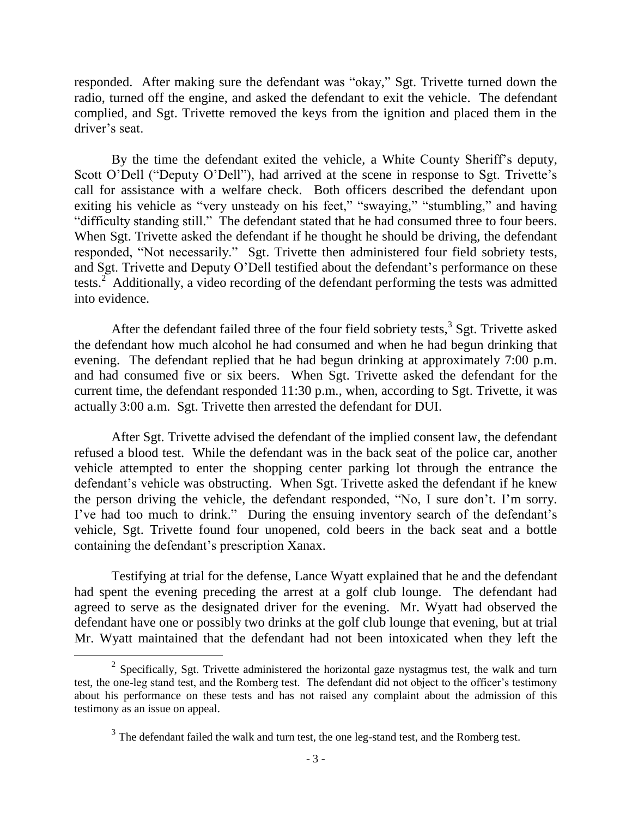responded. After making sure the defendant was "okay," Sgt. Trivette turned down the radio, turned off the engine, and asked the defendant to exit the vehicle. The defendant complied, and Sgt. Trivette removed the keys from the ignition and placed them in the driver's seat.

By the time the defendant exited the vehicle, a White County Sheriff"s deputy, Scott O'Dell ("Deputy O'Dell"), had arrived at the scene in response to Sgt. Trivette's call for assistance with a welfare check. Both officers described the defendant upon exiting his vehicle as "very unsteady on his feet," "swaying," "stumbling," and having "difficulty standing still." The defendant stated that he had consumed three to four beers. When Sgt. Trivette asked the defendant if he thought he should be driving, the defendant responded, "Not necessarily." Sgt. Trivette then administered four field sobriety tests, and Sgt. Trivette and Deputy O'Dell testified about the defendant's performance on these tests.<sup>2</sup> Additionally, a video recording of the defendant performing the tests was admitted into evidence.

After the defendant failed three of the four field sobriety tests,<sup>3</sup> Sgt. Trivette asked the defendant how much alcohol he had consumed and when he had begun drinking that evening. The defendant replied that he had begun drinking at approximately 7:00 p.m. and had consumed five or six beers. When Sgt. Trivette asked the defendant for the current time, the defendant responded 11:30 p.m., when, according to Sgt. Trivette, it was actually 3:00 a.m. Sgt. Trivette then arrested the defendant for DUI.

After Sgt. Trivette advised the defendant of the implied consent law, the defendant refused a blood test. While the defendant was in the back seat of the police car, another vehicle attempted to enter the shopping center parking lot through the entrance the defendant's vehicle was obstructing. When Sgt. Trivette asked the defendant if he knew the person driving the vehicle, the defendant responded, "No, I sure don"t. I"m sorry. I've had too much to drink." During the ensuing inventory search of the defendant's vehicle, Sgt. Trivette found four unopened, cold beers in the back seat and a bottle containing the defendant's prescription Xanax.

Testifying at trial for the defense, Lance Wyatt explained that he and the defendant had spent the evening preceding the arrest at a golf club lounge. The defendant had agreed to serve as the designated driver for the evening. Mr. Wyatt had observed the defendant have one or possibly two drinks at the golf club lounge that evening, but at trial Mr. Wyatt maintained that the defendant had not been intoxicated when they left the

<sup>&</sup>lt;sup>2</sup> Specifically, Sgt. Trivette administered the horizontal gaze nystagmus test, the walk and turn test, the one-leg stand test, and the Romberg test. The defendant did not object to the officer"s testimony about his performance on these tests and has not raised any complaint about the admission of this testimony as an issue on appeal.

 $3$  The defendant failed the walk and turn test, the one leg-stand test, and the Romberg test.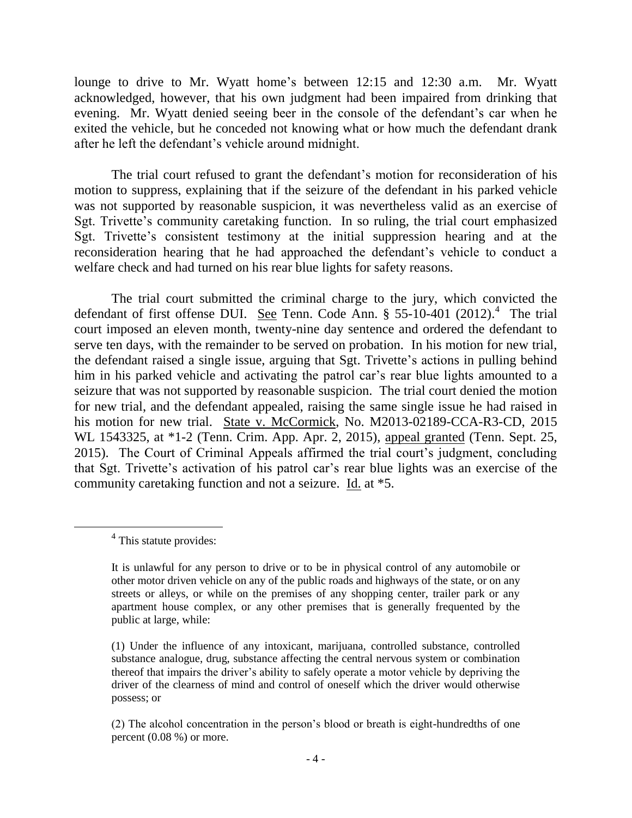lounge to drive to Mr. Wyatt home's between 12:15 and 12:30 a.m. Mr. Wyatt acknowledged, however, that his own judgment had been impaired from drinking that evening. Mr. Wyatt denied seeing beer in the console of the defendant's car when he exited the vehicle, but he conceded not knowing what or how much the defendant drank after he left the defendant"s vehicle around midnight.

The trial court refused to grant the defendant's motion for reconsideration of his motion to suppress, explaining that if the seizure of the defendant in his parked vehicle was not supported by reasonable suspicion, it was nevertheless valid as an exercise of Sgt. Trivette's community caretaking function. In so ruling, the trial court emphasized Sgt. Trivette's consistent testimony at the initial suppression hearing and at the reconsideration hearing that he had approached the defendant"s vehicle to conduct a welfare check and had turned on his rear blue lights for safety reasons.

The trial court submitted the criminal charge to the jury, which convicted the defendant of first offense DUI. See Tenn. Code Ann.  $\S 55-10-401$  (2012).<sup>4</sup> The trial court imposed an eleven month, twenty-nine day sentence and ordered the defendant to serve ten days, with the remainder to be served on probation. In his motion for new trial, the defendant raised a single issue, arguing that Sgt. Trivette"s actions in pulling behind him in his parked vehicle and activating the patrol car's rear blue lights amounted to a seizure that was not supported by reasonable suspicion. The trial court denied the motion for new trial, and the defendant appealed, raising the same single issue he had raised in his motion for new trial. State v. McCormick, No. M2013-02189-CCA-R3-CD, 2015 WL 1543325, at \*1-2 (Tenn. Crim. App. Apr. 2, 2015), appeal granted (Tenn. Sept. 25, 2015). The Court of Criminal Appeals affirmed the trial court's judgment, concluding that Sgt. Trivette's activation of his patrol car's rear blue lights was an exercise of the community caretaking function and not a seizure. Id. at \*5.

<sup>&</sup>lt;sup>4</sup> This statute provides:

It is unlawful for any person to drive or to be in physical control of any automobile or other motor driven vehicle on any of the public roads and highways of the state, or on any streets or alleys, or while on the premises of any shopping center, trailer park or any apartment house complex, or any other premises that is generally frequented by the public at large, while:

<sup>(1)</sup> Under the influence of any intoxicant, marijuana, controlled substance, controlled substance analogue, drug, substance affecting the central nervous system or combination thereof that impairs the driver"s ability to safely operate a motor vehicle by depriving the driver of the clearness of mind and control of oneself which the driver would otherwise possess; or

<sup>(2)</sup> The alcohol concentration in the person"s blood or breath is eight-hundredths of one percent (0.08 %) or more.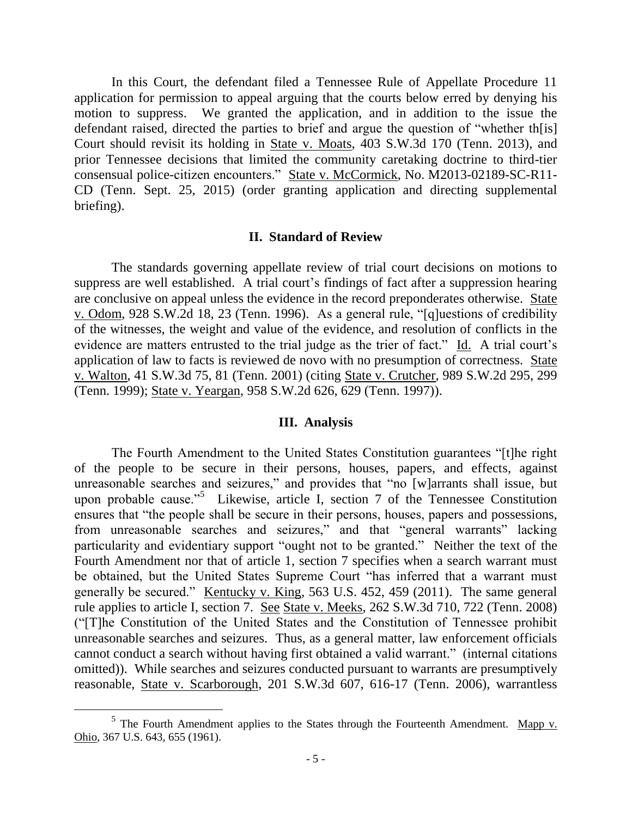In this Court, the defendant filed a Tennessee Rule of Appellate Procedure 11 application for permission to appeal arguing that the courts below erred by denying his motion to suppress. We granted the application, and in addition to the issue the defendant raised, directed the parties to brief and argue the question of "whether th[is] Court should revisit its holding in State v. Moats, 403 S.W.3d 170 (Tenn. 2013), and prior Tennessee decisions that limited the community caretaking doctrine to third-tier consensual police-citizen encounters." State v. McCormick, No. M2013-02189-SC-R11- CD (Tenn. Sept. 25, 2015) (order granting application and directing supplemental briefing).

#### **II. Standard of Review**

The standards governing appellate review of trial court decisions on motions to suppress are well established. A trial court's findings of fact after a suppression hearing are conclusive on appeal unless the evidence in the record preponderates otherwise. State v. Odom, 928 S.W.2d 18, 23 (Tenn. 1996). As a general rule, "[q]uestions of credibility of the witnesses, the weight and value of the evidence, and resolution of conflicts in the evidence are matters entrusted to the trial judge as the trier of fact." Id. A trial court's application of law to facts is reviewed de novo with no presumption of correctness. State v. Walton, 41 S.W.3d 75, 81 (Tenn. 2001) (citing State v. Crutcher, 989 S.W.2d 295, 299 (Tenn. 1999); State v. Yeargan, 958 S.W.2d 626, 629 (Tenn. 1997)).

### **III. Analysis**

The Fourth Amendment to the United States Constitution guarantees "[t]he right of the people to be secure in their persons, houses, papers, and effects, against unreasonable searches and seizures," and provides that "no [w]arrants shall issue, but upon probable cause."<sup>5</sup> Likewise, article I, section 7 of the Tennessee Constitution ensures that "the people shall be secure in their persons, houses, papers and possessions, from unreasonable searches and seizures," and that "general warrants" lacking particularity and evidentiary support "ought not to be granted." Neither the text of the Fourth Amendment nor that of article 1, section 7 specifies when a search warrant must be obtained, but the United States Supreme Court "has inferred that a warrant must generally be secured." Kentucky v. King, 563 U.S. 452, 459 (2011). The same general rule applies to article I, section 7. See State v. Meeks, 262 S.W.3d 710, 722 (Tenn. 2008) ("[T]he Constitution of the United States and the Constitution of Tennessee prohibit unreasonable searches and seizures. Thus, as a general matter, law enforcement officials cannot conduct a search without having first obtained a valid warrant." (internal citations omitted)). While searches and seizures conducted pursuant to warrants are presumptively reasonable, State v. Scarborough, 201 S.W.3d 607, 616-17 (Tenn. 2006), warrantless

 $<sup>5</sup>$  The Fourth Amendment applies to the States through the Fourteenth Amendment. Mapp v.</sup> Ohio*,* 367 U.S. 643, 655 (1961).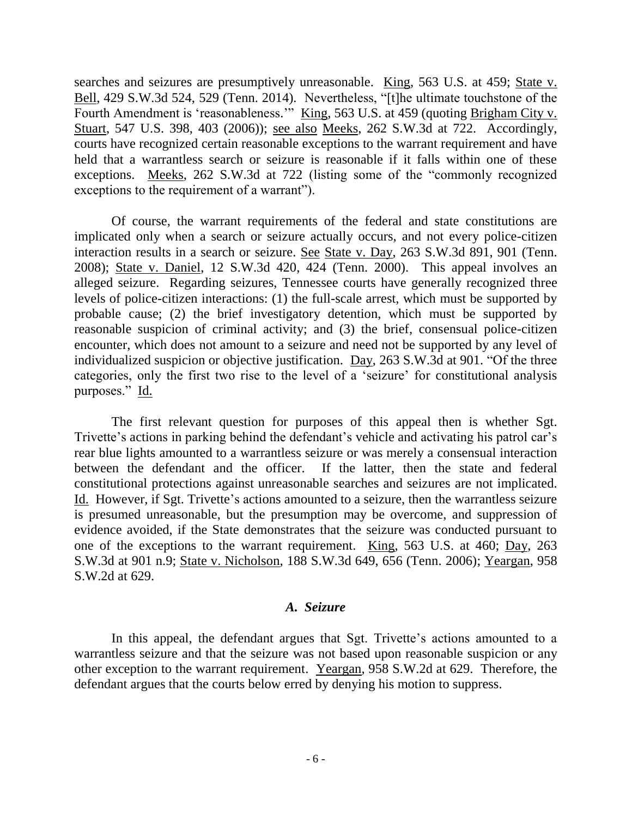searches and seizures are presumptively unreasonable. King, 563 U.S. at 459; State v. Bell, 429 S.W.3d 524, 529 (Tenn. 2014). Nevertheless, "[t]he ultimate touchstone of the Fourth Amendment is 'reasonableness.'" King, 563 U.S. at 459 (quoting Brigham City v. Stuart, 547 U.S. 398, 403 (2006)); see also Meeks, 262 S.W.3d at 722. Accordingly, courts have recognized certain reasonable exceptions to the warrant requirement and have held that a warrantless search or seizure is reasonable if it falls within one of these exceptions. Meeks, 262 S.W.3d at 722 (listing some of the "commonly recognized exceptions to the requirement of a warrant").

Of course, the warrant requirements of the federal and state constitutions are implicated only when a search or seizure actually occurs, and not every police-citizen interaction results in a search or seizure. See State v. Day, 263 S.W.3d 891, 901 (Tenn. 2008); State v. Daniel, 12 S.W.3d 420, 424 (Tenn. 2000). This appeal involves an alleged seizure. Regarding seizures, Tennessee courts have generally recognized three levels of police-citizen interactions: (1) the full-scale arrest, which must be supported by probable cause; (2) the brief investigatory detention, which must be supported by reasonable suspicion of criminal activity; and (3) the brief, consensual police-citizen encounter, which does not amount to a seizure and need not be supported by any level of individualized suspicion or objective justification. Day, 263 S.W.3d at 901. "Of the three categories, only the first two rise to the level of a "seizure" for constitutional analysis purposes." Id.

The first relevant question for purposes of this appeal then is whether Sgt. Trivette's actions in parking behind the defendant's vehicle and activating his patrol car's rear blue lights amounted to a warrantless seizure or was merely a consensual interaction between the defendant and the officer. If the latter, then the state and federal constitutional protections against unreasonable searches and seizures are not implicated. Id. However, if Sgt. Trivette's actions amounted to a seizure, then the warrantless seizure is presumed unreasonable, but the presumption may be overcome, and suppression of evidence avoided, if the State demonstrates that the seizure was conducted pursuant to one of the exceptions to the warrant requirement. King, 563 U.S. at 460; Day, 263 S.W.3d at 901 n.9; State v. Nicholson, 188 S.W.3d 649, 656 (Tenn. 2006); Yeargan, 958 S.W.2d at 629.

## *A. Seizure*

In this appeal, the defendant argues that Sgt. Trivette's actions amounted to a warrantless seizure and that the seizure was not based upon reasonable suspicion or any other exception to the warrant requirement. Yeargan, 958 S.W.2d at 629. Therefore, the defendant argues that the courts below erred by denying his motion to suppress.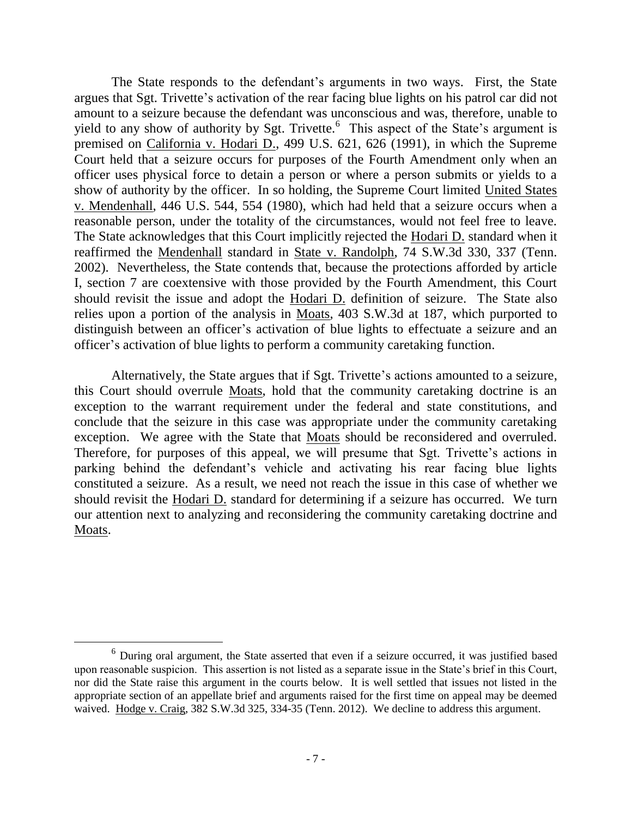The State responds to the defendant's arguments in two ways. First, the State argues that Sgt. Trivette"s activation of the rear facing blue lights on his patrol car did not amount to a seizure because the defendant was unconscious and was, therefore, unable to yield to any show of authority by Sgt. Trivette.<sup>6</sup> This aspect of the State's argument is premised on California v. Hodari D., 499 U.S. 621, 626 (1991), in which the Supreme Court held that a seizure occurs for purposes of the Fourth Amendment only when an officer uses physical force to detain a person or where a person submits or yields to a show of authority by the officer. In so holding, the Supreme Court limited United States v. Mendenhall, 446 U.S. 544, 554 (1980), which had held that a seizure occurs when a reasonable person, under the totality of the circumstances, would not feel free to leave. The State acknowledges that this Court implicitly rejected the Hodari D. standard when it reaffirmed the Mendenhall standard in State v. Randolph, 74 S.W.3d 330, 337 (Tenn. 2002). Nevertheless, the State contends that, because the protections afforded by article I, section 7 are coextensive with those provided by the Fourth Amendment, this Court should revisit the issue and adopt the Hodari D. definition of seizure. The State also relies upon a portion of the analysis in Moats, 403 S.W.3d at 187, which purported to distinguish between an officer's activation of blue lights to effectuate a seizure and an officer"s activation of blue lights to perform a community caretaking function.

Alternatively, the State argues that if Sgt. Trivette's actions amounted to a seizure, this Court should overrule Moats, hold that the community caretaking doctrine is an exception to the warrant requirement under the federal and state constitutions, and conclude that the seizure in this case was appropriate under the community caretaking exception. We agree with the State that Moats should be reconsidered and overruled. Therefore, for purposes of this appeal, we will presume that Sgt. Trivette's actions in parking behind the defendant"s vehicle and activating his rear facing blue lights constituted a seizure. As a result, we need not reach the issue in this case of whether we should revisit the Hodari D. standard for determining if a seizure has occurred. We turn our attention next to analyzing and reconsidering the community caretaking doctrine and Moats.

<sup>6</sup> During oral argument, the State asserted that even if a seizure occurred, it was justified based upon reasonable suspicion. This assertion is not listed as a separate issue in the State"s brief in this Court, nor did the State raise this argument in the courts below. It is well settled that issues not listed in the appropriate section of an appellate brief and arguments raised for the first time on appeal may be deemed waived. Hodge v. Craig, 382 S.W.3d 325, 334-35 (Tenn. 2012). We decline to address this argument.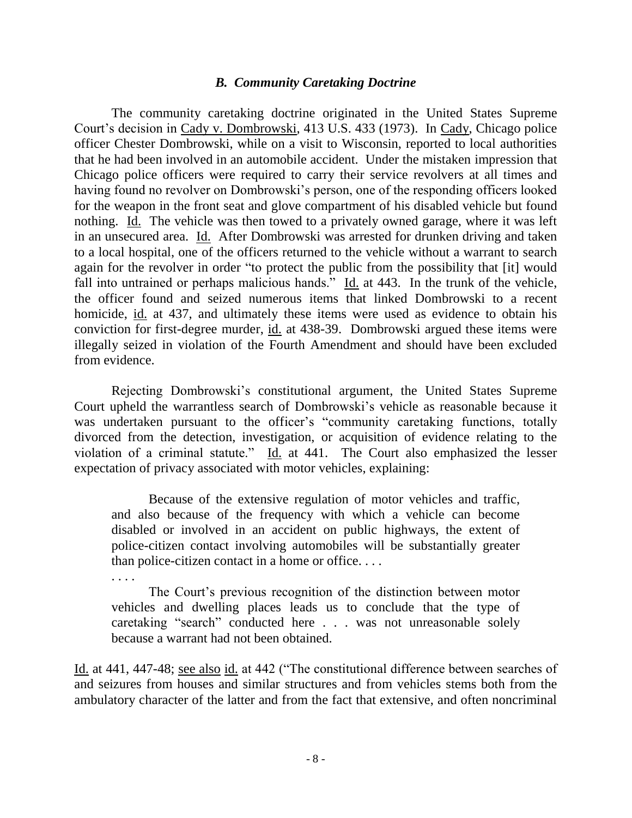### *B. Community Caretaking Doctrine*

The community caretaking doctrine originated in the United States Supreme Court"s decision in Cady v. Dombrowski, 413 U.S. 433 (1973). In Cady, Chicago police officer Chester Dombrowski, while on a visit to Wisconsin, reported to local authorities that he had been involved in an automobile accident. Under the mistaken impression that Chicago police officers were required to carry their service revolvers at all times and having found no revolver on Dombrowski"s person, one of the responding officers looked for the weapon in the front seat and glove compartment of his disabled vehicle but found nothing. Id. The vehicle was then towed to a privately owned garage, where it was left in an unsecured area. Id. After Dombrowski was arrested for drunken driving and taken to a local hospital, one of the officers returned to the vehicle without a warrant to search again for the revolver in order "to protect the public from the possibility that [it] would fall into untrained or perhaps malicious hands."  $\underline{Id}$  at 443. In the trunk of the vehicle, the officer found and seized numerous items that linked Dombrowski to a recent homicide, id. at 437, and ultimately these items were used as evidence to obtain his conviction for first-degree murder, id. at 438-39. Dombrowski argued these items were illegally seized in violation of the Fourth Amendment and should have been excluded from evidence.

Rejecting Dombrowski's constitutional argument, the United States Supreme Court upheld the warrantless search of Dombrowski"s vehicle as reasonable because it was undertaken pursuant to the officer's "community caretaking functions, totally divorced from the detection, investigation, or acquisition of evidence relating to the violation of a criminal statute." Id. at 441. The Court also emphasized the lesser expectation of privacy associated with motor vehicles, explaining:

Because of the extensive regulation of motor vehicles and traffic, and also because of the frequency with which a vehicle can become disabled or involved in an accident on public highways, the extent of police-citizen contact involving automobiles will be substantially greater than police-citizen contact in a home or office. . . .

. . . . The Court's previous recognition of the distinction between motor vehicles and dwelling places leads us to conclude that the type of caretaking "search" conducted here . . . was not unreasonable solely because a warrant had not been obtained.

Id. at 441, 447-48; see also id. at 442 ("The constitutional difference between searches of and seizures from houses and similar structures and from vehicles stems both from the ambulatory character of the latter and from the fact that extensive, and often noncriminal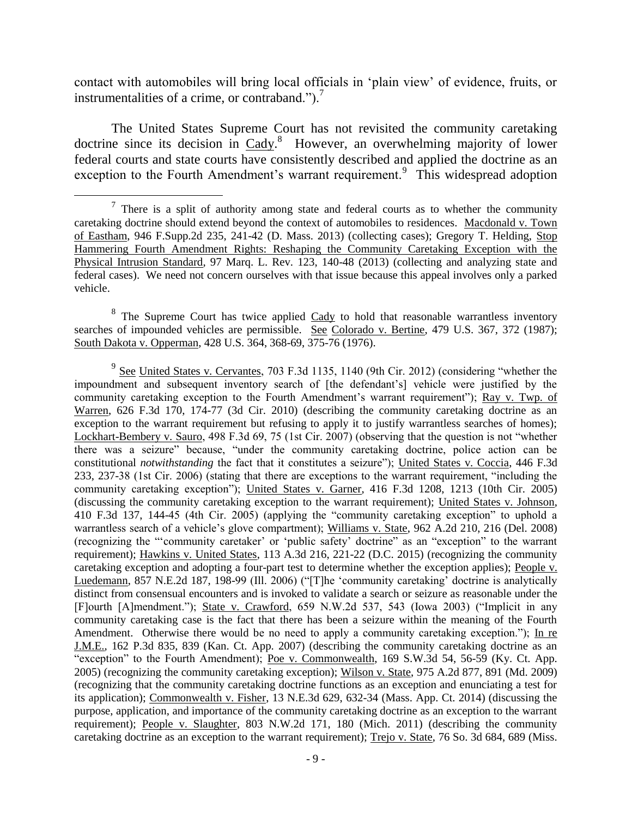contact with automobiles will bring local officials in "plain view" of evidence, fruits, or instrumentalities of a crime, or contraband.").<sup>7</sup>

The United States Supreme Court has not revisited the community caretaking doctrine since its decision in Cady.<sup>8</sup> However, an overwhelming majority of lower federal courts and state courts have consistently described and applied the doctrine as an exception to the Fourth Amendment's warrant requirement.<sup>9</sup> This widespread adoption

 $8$  The Supreme Court has twice applied  $Cady$  to hold that reasonable warrantless inventory searches of impounded vehicles are permissible. See Colorado v. Bertine, 479 U.S. 367, 372 (1987); South Dakota v. Opperman, 428 U.S. 364, 368-69, 375-76 (1976).

 $9\text{ See United States v. Cervantes, 703 F.3d 1135, 1140 (9th Cir. 2012) (considering "whether the$ impoundment and subsequent inventory search of [the defendant"s] vehicle were justified by the community caretaking exception to the Fourth Amendment's warrant requirement''); Ray v. Twp. of Warren, 626 F.3d 170, 174-77 (3d Cir. 2010) (describing the community caretaking doctrine as an exception to the warrant requirement but refusing to apply it to justify warrantless searches of homes); Lockhart-Bembery v. Sauro, 498 F.3d 69, 75 (1st Cir. 2007) (observing that the question is not "whether there was a seizure" because, "under the community caretaking doctrine, police action can be constitutional *notwithstanding* the fact that it constitutes a seizure"); United States v. Coccia, 446 F.3d 233, 237-38 (1st Cir. 2006) (stating that there are exceptions to the warrant requirement, "including the community caretaking exception"); United States v. Garner, 416 F.3d 1208, 1213 (10th Cir. 2005) (discussing the community caretaking exception to the warrant requirement); United States v. Johnson, 410 F.3d 137, 144-45 (4th Cir. 2005) (applying the "community caretaking exception" to uphold a warrantless search of a vehicle's glove compartment); Williams v. State, 962 A.2d 210, 216 (Del. 2008) (recognizing the ""community caretaker" or "public safety" doctrine" as an "exception" to the warrant requirement); Hawkins v. United States, 113 A.3d 216, 221-22 (D.C. 2015) (recognizing the community caretaking exception and adopting a four-part test to determine whether the exception applies); People v. Luedemann, 857 N.E.2d 187, 198-99 (Ill. 2006) ("[T]he "community caretaking" doctrine is analytically distinct from consensual encounters and is invoked to validate a search or seizure as reasonable under the [F]ourth [A]mendment."); State v. Crawford, 659 N.W.2d 537, 543 (Iowa 2003) ("Implicit in any community caretaking case is the fact that there has been a seizure within the meaning of the Fourth Amendment. Otherwise there would be no need to apply a community caretaking exception."); In re J.M.E., 162 P.3d 835, 839 (Kan. Ct. App. 2007) (describing the community caretaking doctrine as an "exception" to the Fourth Amendment); Poe v. Commonwealth, 169 S.W.3d 54, 56-59 (Ky. Ct. App. 2005) (recognizing the community caretaking exception); Wilson v. State, 975 A.2d 877, 891 (Md. 2009) (recognizing that the community caretaking doctrine functions as an exception and enunciating a test for its application); Commonwealth v. Fisher, 13 N.E.3d 629, 632-34 (Mass. App. Ct. 2014) (discussing the purpose, application, and importance of the community caretaking doctrine as an exception to the warrant requirement); People v. Slaughter, 803 N.W.2d 171, 180 (Mich. 2011) (describing the community caretaking doctrine as an exception to the warrant requirement); Trejo v. State, 76 So. 3d 684, 689 (Miss.

 $7$  There is a split of authority among state and federal courts as to whether the community caretaking doctrine should extend beyond the context of automobiles to residences. Macdonald v. Town of Eastham, 946 F.Supp.2d 235, 241-42 (D. Mass. 2013) (collecting cases); Gregory T. Helding, Stop Hammering Fourth Amendment Rights: Reshaping the Community Caretaking Exception with the Physical Intrusion Standard, 97 Marq. L. Rev. 123, 140-48 (2013) (collecting and analyzing state and federal cases). We need not concern ourselves with that issue because this appeal involves only a parked vehicle.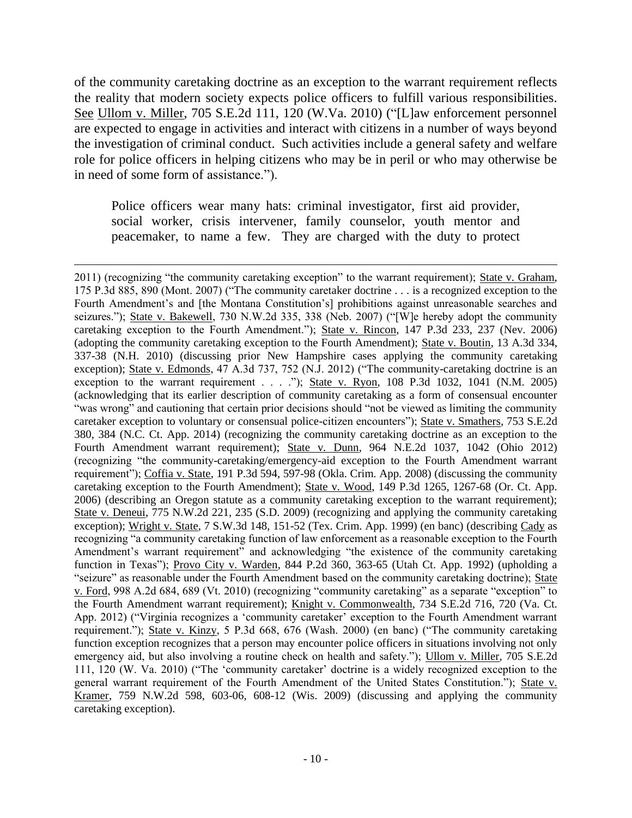of the community caretaking doctrine as an exception to the warrant requirement reflects the reality that modern society expects police officers to fulfill various responsibilities. See Ullom v. Miller, 705 S.E.2d 111, 120 (W.Va. 2010) ("[L]aw enforcement personnel are expected to engage in activities and interact with citizens in a number of ways beyond the investigation of criminal conduct. Such activities include a general safety and welfare role for police officers in helping citizens who may be in peril or who may otherwise be in need of some form of assistance.").

Police officers wear many hats: criminal investigator, first aid provider, social worker, crisis intervener, family counselor, youth mentor and peacemaker, to name a few. They are charged with the duty to protect

 $\overline{a}$ 

2011) (recognizing "the community caretaking exception" to the warrant requirement); State v. Graham, 175 P.3d 885, 890 (Mont. 2007) ("The community caretaker doctrine . . . is a recognized exception to the Fourth Amendment's and [the Montana Constitution's] prohibitions against unreasonable searches and seizures."); State v. Bakewell, 730 N.W.2d 335, 338 (Neb. 2007) ("[W]e hereby adopt the community caretaking exception to the Fourth Amendment."); State v. Rincon, 147 P.3d 233, 237 (Nev. 2006) (adopting the community caretaking exception to the Fourth Amendment); State v. Boutin, 13 A.3d 334, 337-38 (N.H. 2010) (discussing prior New Hampshire cases applying the community caretaking exception); State v. Edmonds, 47 A.3d 737, 752 (N.J. 2012) ("The community-caretaking doctrine is an exception to the warrant requirement . . . ."); State v. Ryon, 108 P.3d 1032, 1041 (N.M. 2005) (acknowledging that its earlier description of community caretaking as a form of consensual encounter "was wrong" and cautioning that certain prior decisions should "not be viewed as limiting the community caretaker exception to voluntary or consensual police-citizen encounters"); State v. Smathers, 753 S.E.2d 380, 384 (N.C. Ct. App. 2014) (recognizing the community caretaking doctrine as an exception to the Fourth Amendment warrant requirement); State v. Dunn, 964 N.E.2d 1037, 1042 (Ohio 2012) (recognizing "the community-caretaking/emergency-aid exception to the Fourth Amendment warrant requirement"); Coffia v. State, 191 P.3d 594, 597-98 (Okla. Crim. App. 2008) (discussing the community caretaking exception to the Fourth Amendment); State v. Wood, 149 P.3d 1265, 1267-68 (Or. Ct. App. 2006) (describing an Oregon statute as a community caretaking exception to the warrant requirement); State v. Deneui, 775 N.W.2d 221, 235 (S.D. 2009) (recognizing and applying the community caretaking exception); Wright v. State, 7 S.W.3d 148, 151-52 (Tex. Crim. App. 1999) (en banc) (describing Cady as recognizing "a community caretaking function of law enforcement as a reasonable exception to the Fourth Amendment's warrant requirement" and acknowledging "the existence of the community caretaking function in Texas"); Provo City v. Warden, 844 P.2d 360, 363-65 (Utah Ct. App. 1992) (upholding a "seizure" as reasonable under the Fourth Amendment based on the community caretaking doctrine); State v. Ford, 998 A.2d 684, 689 (Vt. 2010) (recognizing "community caretaking" as a separate "exception" to the Fourth Amendment warrant requirement); Knight v. Commonwealth, 734 S.E.2d 716, 720 (Va. Ct. App. 2012) ("Virginia recognizes a "community caretaker" exception to the Fourth Amendment warrant requirement."); State v. Kinzy, 5 P.3d 668, 676 (Wash. 2000) (en banc) ("The community caretaking function exception recognizes that a person may encounter police officers in situations involving not only emergency aid, but also involving a routine check on health and safety."); Ullom v. Miller, 705 S.E.2d 111, 120 (W. Va. 2010) ("The "community caretaker" doctrine is a widely recognized exception to the general warrant requirement of the Fourth Amendment of the United States Constitution."); State v. Kramer, 759 N.W.2d 598, 603-06, 608-12 (Wis. 2009) (discussing and applying the community caretaking exception).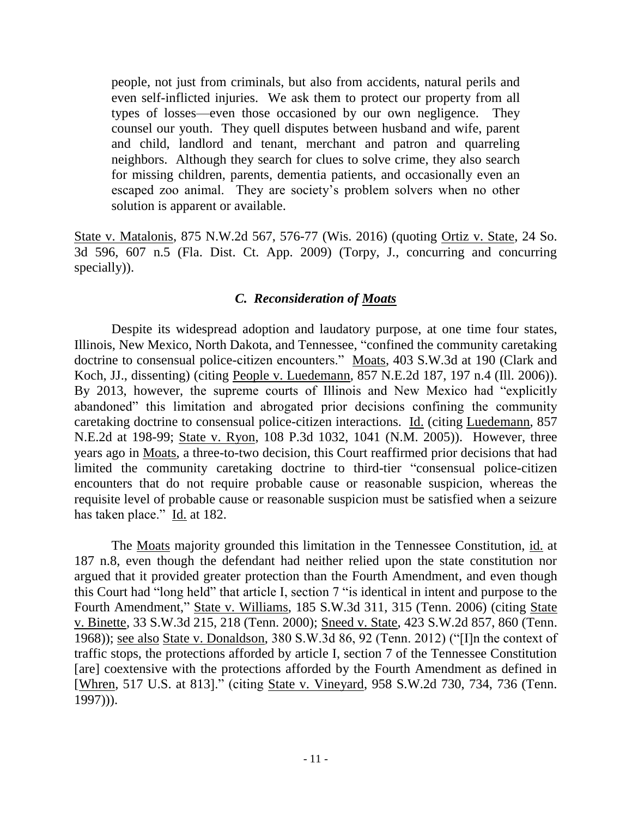people, not just from criminals, but also from accidents, natural perils and even self-inflicted injuries. We ask them to protect our property from all types of losses—even those occasioned by our own negligence. They counsel our youth. They quell disputes between husband and wife, parent and child, landlord and tenant, merchant and patron and quarreling neighbors. Although they search for clues to solve crime, they also search for missing children, parents, dementia patients, and occasionally even an escaped zoo animal. They are society's problem solvers when no other solution is apparent or available.

State v. Matalonis, 875 N.W.2d 567, 576-77 (Wis. 2016) (quoting Ortiz v. State, 24 So. 3d 596, 607 n.5 (Fla. Dist. Ct. App. 2009) (Torpy, J., concurring and concurring specially)).

## *C. Reconsideration of Moats*

Despite its widespread adoption and laudatory purpose, at one time four states, Illinois, New Mexico, North Dakota, and Tennessee, "confined the community caretaking doctrine to consensual police-citizen encounters." Moats, 403 S.W.3d at 190 (Clark and Koch, JJ., dissenting) (citing People v. Luedemann, 857 N.E.2d 187, 197 n.4 (Ill. 2006)). By 2013, however, the supreme courts of Illinois and New Mexico had "explicitly abandoned" this limitation and abrogated prior decisions confining the community caretaking doctrine to consensual police-citizen interactions. Id. (citing Luedemann, 857 N.E.2d at 198-99; State v. Ryon, 108 P.3d 1032, 1041 (N.M. 2005)). However, three years ago in Moats, a three-to-two decision, this Court reaffirmed prior decisions that had limited the community caretaking doctrine to third-tier "consensual police-citizen encounters that do not require probable cause or reasonable suspicion, whereas the requisite level of probable cause or reasonable suspicion must be satisfied when a seizure has taken place." Id. at 182.

The Moats majority grounded this limitation in the Tennessee Constitution, id. at 187 n.8, even though the defendant had neither relied upon the state constitution nor argued that it provided greater protection than the Fourth Amendment, and even though this Court had "long held" that article I, section 7 "is identical in intent and purpose to the Fourth Amendment," State v. Williams, 185 S.W.3d 311, 315 (Tenn. 2006) (citing State v. Binette, 33 S.W.3d 215, 218 (Tenn. 2000); Sneed v. State, 423 S.W.2d 857, 860 (Tenn. 1968)); see also State v. Donaldson, 380 S.W.3d 86, 92 (Tenn. 2012) ("[I]n the context of traffic stops, the protections afforded by article I, section 7 of the Tennessee Constitution [are] coextensive with the protections afforded by the Fourth Amendment as defined in [Whren*,* 517 U.S. at 813]." (citing State v. Vineyard, 958 S.W.2d 730, 734, 736 (Tenn. 1997))).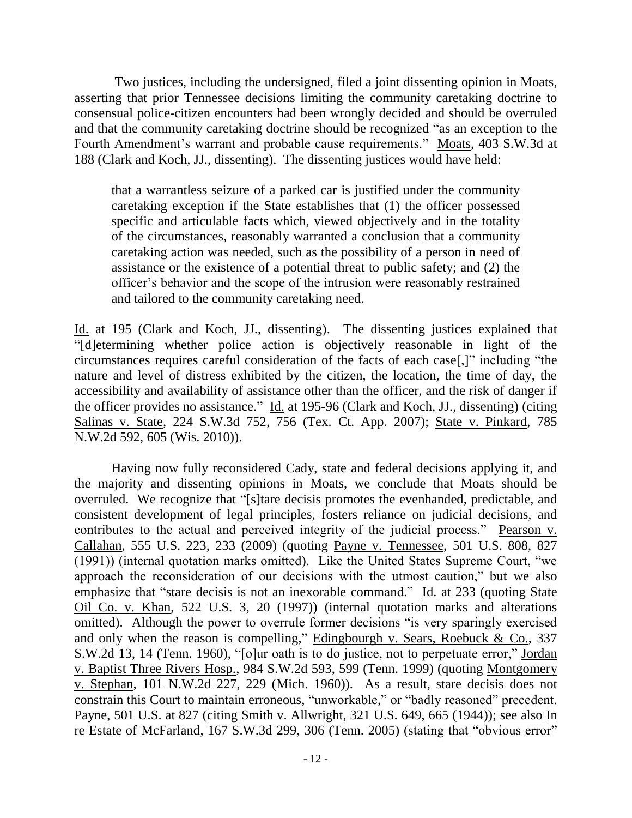Two justices, including the undersigned, filed a joint dissenting opinion in Moats, asserting that prior Tennessee decisions limiting the community caretaking doctrine to consensual police-citizen encounters had been wrongly decided and should be overruled and that the community caretaking doctrine should be recognized "as an exception to the Fourth Amendment's warrant and probable cause requirements." Moats, 403 S.W.3d at 188 (Clark and Koch, JJ., dissenting). The dissenting justices would have held:

that a warrantless seizure of a parked car is justified under the community caretaking exception if the State establishes that (1) the officer possessed specific and articulable facts which, viewed objectively and in the totality of the circumstances, reasonably warranted a conclusion that a community caretaking action was needed, such as the possibility of a person in need of assistance or the existence of a potential threat to public safety; and (2) the officer"s behavior and the scope of the intrusion were reasonably restrained and tailored to the community caretaking need.

Id. at 195 (Clark and Koch, JJ., dissenting). The dissenting justices explained that "[d]etermining whether police action is objectively reasonable in light of the circumstances requires careful consideration of the facts of each case[,]" including "the nature and level of distress exhibited by the citizen, the location, the time of day, the accessibility and availability of assistance other than the officer, and the risk of danger if the officer provides no assistance." Id. at 195-96 (Clark and Koch, JJ., dissenting) (citing Salinas v. State, 224 S.W.3d 752, 756 (Tex. Ct. App. 2007); State v. Pinkard, 785 N.W.2d 592, 605 (Wis. 2010)).

Having now fully reconsidered Cady, state and federal decisions applying it, and the majority and dissenting opinions in Moats, we conclude that Moats should be overruled. We recognize that "[s]tare decisis promotes the evenhanded, predictable, and consistent development of legal principles, fosters reliance on judicial decisions, and contributes to the actual and perceived integrity of the judicial process." Pearson v. Callahan, 555 U.S. 223, 233 (2009) (quoting Payne v. Tennessee, 501 U.S. 808, 827 (1991)) (internal quotation marks omitted). Like the United States Supreme Court, "we approach the reconsideration of our decisions with the utmost caution," but we also emphasize that "stare decisis is not an inexorable command." Id. at 233 (quoting State Oil Co. v. Khan, 522 U.S. 3, 20 (1997)) (internal quotation marks and alterations omitted). Although the power to overrule former decisions "is very sparingly exercised and only when the reason is compelling," Edingbourgh v. Sears, Roebuck & Co., 337 S.W.2d 13, 14 (Tenn. 1960), "[o]ur oath is to do justice, not to perpetuate error," Jordan v. Baptist Three Rivers Hosp., 984 S.W.2d 593, 599 (Tenn. 1999) (quoting Montgomery v. Stephan, 101 N.W.2d 227, 229 (Mich. 1960)). As a result, stare decisis does not constrain this Court to maintain erroneous, "unworkable," or "badly reasoned" precedent. Payne, 501 U.S. at 827 (citing Smith v. Allwright, 321 U.S. 649, 665 (1944)); see also In re Estate of McFarland, 167 S.W.3d 299, 306 (Tenn. 2005) (stating that "obvious error"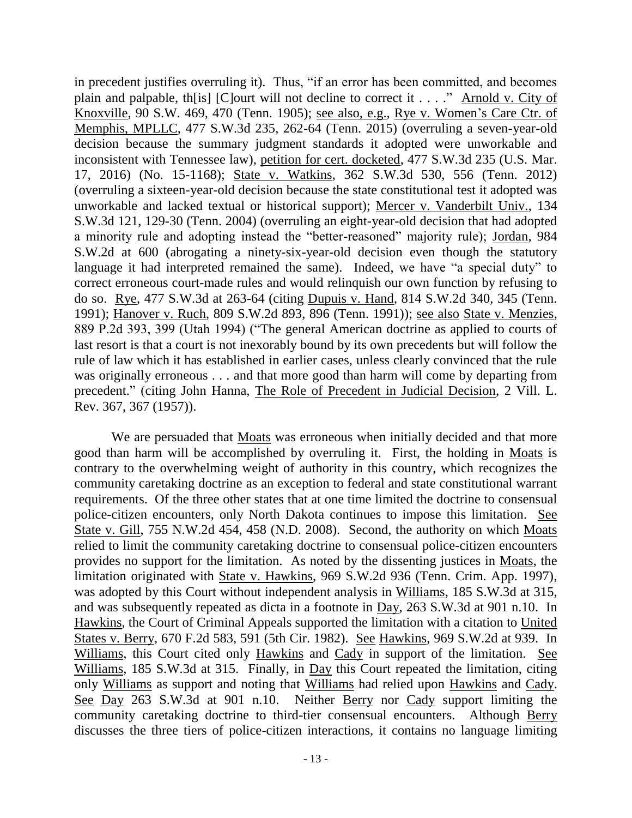in precedent justifies overruling it). Thus, "if an error has been committed, and becomes plain and palpable, th[is] [C]ourt will not decline to correct it . . . ." Arnold v. City of Knoxville, 90 S.W. 469, 470 (Tenn. 1905); see also, e.g., Rye v. Women"s Care Ctr. of Memphis, MPLLC, 477 S.W.3d 235, 262-64 (Tenn. 2015) (overruling a seven-year-old decision because the summary judgment standards it adopted were unworkable and inconsistent with Tennessee law), petition for cert. docketed, 477 S.W.3d 235 (U.S. Mar. 17, 2016) (No. 15-1168); State v. Watkins, 362 S.W.3d 530, 556 (Tenn. 2012) (overruling a sixteen-year-old decision because the state constitutional test it adopted was unworkable and lacked textual or historical support); Mercer v. Vanderbilt Univ., 134 S.W.3d 121, 129-30 (Tenn. 2004) (overruling an eight-year-old decision that had adopted a minority rule and adopting instead the "better-reasoned" majority rule); Jordan, 984 S.W.2d at 600 (abrogating a ninety-six-year-old decision even though the statutory language it had interpreted remained the same). Indeed, we have "a special duty" to correct erroneous court-made rules and would relinquish our own function by refusing to do so. Rye, 477 S.W.3d at 263-64 (citing Dupuis v. Hand, 814 S.W.2d 340, 345 (Tenn. 1991); Hanover v. Ruch, 809 S.W.2d 893, 896 (Tenn. 1991)); see also State v. Menzies, 889 P.2d 393, 399 (Utah 1994) ("The general American doctrine as applied to courts of last resort is that a court is not inexorably bound by its own precedents but will follow the rule of law which it has established in earlier cases, unless clearly convinced that the rule was originally erroneous . . . and that more good than harm will come by departing from precedent." (citing John Hanna, The Role of Precedent in Judicial Decision, 2 Vill. L. Rev. 367, 367 (1957)).

We are persuaded that Moats was erroneous when initially decided and that more good than harm will be accomplished by overruling it. First, the holding in Moats is contrary to the overwhelming weight of authority in this country, which recognizes the community caretaking doctrine as an exception to federal and state constitutional warrant requirements. Of the three other states that at one time limited the doctrine to consensual police-citizen encounters, only North Dakota continues to impose this limitation. See State v. Gill, 755 N.W.2d 454, 458 (N.D. 2008). Second, the authority on which Moats relied to limit the community caretaking doctrine to consensual police-citizen encounters provides no support for the limitation. As noted by the dissenting justices in Moats, the limitation originated with State v. Hawkins, 969 S.W.2d 936 (Tenn. Crim. App. 1997), was adopted by this Court without independent analysis in Williams, 185 S.W.3d at 315, and was subsequently repeated as dicta in a footnote in Day, 263 S.W.3d at 901 n.10. In Hawkins, the Court of Criminal Appeals supported the limitation with a citation to United States v. Berry, 670 F.2d 583, 591 (5th Cir. 1982). See Hawkins, 969 S.W.2d at 939. In Williams, this Court cited only Hawkins and Cady in support of the limitation. See Williams, 185 S.W.3d at 315. Finally, in Day this Court repeated the limitation, citing only Williams as support and noting that Williams had relied upon Hawkins and Cady. See Day 263 S.W.3d at 901 n.10. Neither Berry nor Cady support limiting the community caretaking doctrine to third-tier consensual encounters. Although Berry discusses the three tiers of police-citizen interactions, it contains no language limiting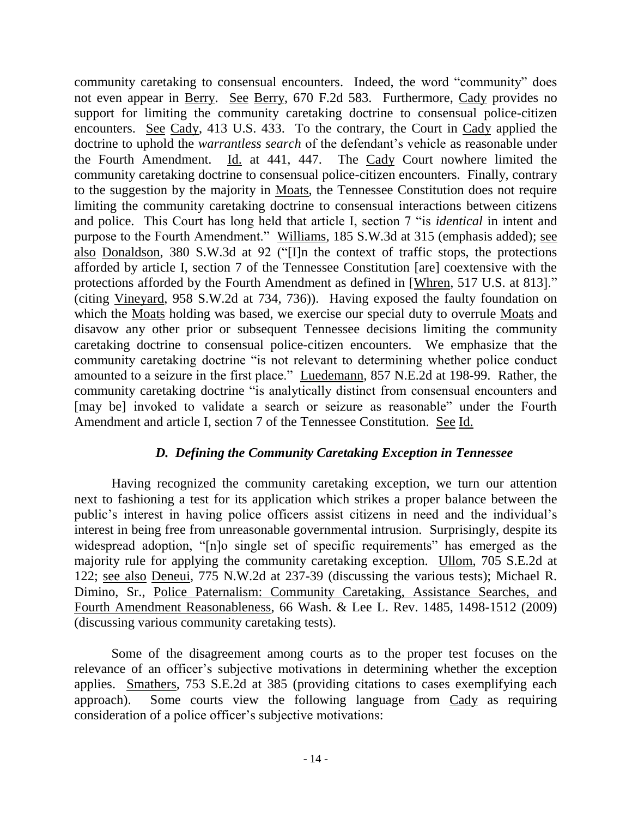community caretaking to consensual encounters. Indeed, the word "community" does not even appear in Berry. See Berry, 670 F.2d 583. Furthermore, Cady provides no support for limiting the community caretaking doctrine to consensual police-citizen encounters. See Cady, 413 U.S. 433. To the contrary, the Court in Cady applied the doctrine to uphold the *warrantless search* of the defendant's vehicle as reasonable under the Fourth Amendment. Id. at 441, 447. The Cady Court nowhere limited the community caretaking doctrine to consensual police-citizen encounters. Finally, contrary to the suggestion by the majority in Moats, the Tennessee Constitution does not require limiting the community caretaking doctrine to consensual interactions between citizens and police. This Court has long held that article I, section 7 "is *identical* in intent and purpose to the Fourth Amendment." Williams, 185 S.W.3d at 315 (emphasis added); see also Donaldson, 380 S.W.3d at 92 ("[I]n the context of traffic stops, the protections afforded by article I, section 7 of the Tennessee Constitution [are] coextensive with the protections afforded by the Fourth Amendment as defined in [Whren*,* 517 U.S. at 813]." (citing Vineyard, 958 S.W.2d at 734, 736)). Having exposed the faulty foundation on which the Moats holding was based, we exercise our special duty to overrule Moats and disavow any other prior or subsequent Tennessee decisions limiting the community caretaking doctrine to consensual police-citizen encounters. We emphasize that the community caretaking doctrine "is not relevant to determining whether police conduct amounted to a seizure in the first place." Luedemann, 857 N.E.2d at 198-99. Rather, the community caretaking doctrine "is analytically distinct from consensual encounters and [may be] invoked to validate a search or seizure as reasonable" under the Fourth Amendment and article I, section 7 of the Tennessee Constitution. See Id.

## *D. Defining the Community Caretaking Exception in Tennessee*

Having recognized the community caretaking exception, we turn our attention next to fashioning a test for its application which strikes a proper balance between the public"s interest in having police officers assist citizens in need and the individual"s interest in being free from unreasonable governmental intrusion. Surprisingly, despite its widespread adoption, "[n]o single set of specific requirements" has emerged as the majority rule for applying the community caretaking exception. Ullom, 705 S.E.2d at 122; see also Deneui, 775 N.W.2d at 237-39 (discussing the various tests); Michael R. Dimino, Sr., Police Paternalism: Community Caretaking, Assistance Searches, and Fourth Amendment Reasonableness, 66 Wash. & Lee L. Rev. 1485, 1498-1512 (2009) (discussing various community caretaking tests).

Some of the disagreement among courts as to the proper test focuses on the relevance of an officer"s subjective motivations in determining whether the exception applies. Smathers, 753 S.E.2d at 385 (providing citations to cases exemplifying each approach). Some courts view the following language from Cady as requiring consideration of a police officer"s subjective motivations: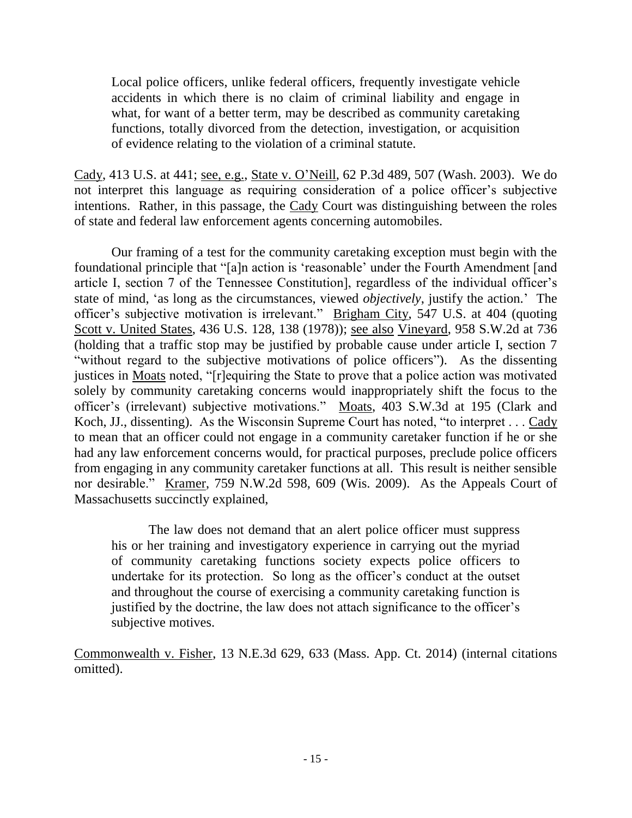Local police officers, unlike federal officers, frequently investigate vehicle accidents in which there is no claim of criminal liability and engage in what, for want of a better term, may be described as community caretaking functions, totally divorced from the detection, investigation, or acquisition of evidence relating to the violation of a criminal statute.

Cady, 413 U.S. at 441; see, e.g., State v. O"Neill, 62 P.3d 489, 507 (Wash. 2003). We do not interpret this language as requiring consideration of a police officer"s subjective intentions. Rather, in this passage, the Cady Court was distinguishing between the roles of state and federal law enforcement agents concerning automobiles.

Our framing of a test for the community caretaking exception must begin with the foundational principle that "[a]n action is "reasonable" under the Fourth Amendment [and article I, section 7 of the Tennessee Constitution], regardless of the individual officer"s state of mind, "as long as the circumstances, viewed *objectively*, justify the action." The officer"s subjective motivation is irrelevant." Brigham City, 547 U.S. at 404 (quoting Scott v. United States, 436 U.S. 128, 138 (1978)); see also Vineyard, 958 S.W.2d at 736 (holding that a traffic stop may be justified by probable cause under article I, section 7 "without regard to the subjective motivations of police officers"). As the dissenting justices in Moats noted, "[r]equiring the State to prove that a police action was motivated solely by community caretaking concerns would inappropriately shift the focus to the officer"s (irrelevant) subjective motivations." Moats, 403 S.W.3d at 195 (Clark and Koch, JJ., dissenting). As the Wisconsin Supreme Court has noted, "to interpret . . . Cady to mean that an officer could not engage in a community caretaker function if he or she had any law enforcement concerns would, for practical purposes, preclude police officers from engaging in any community caretaker functions at all. This result is neither sensible nor desirable." Kramer, 759 N.W.2d 598, 609 (Wis. 2009). As the Appeals Court of Massachusetts succinctly explained,

The law does not demand that an alert police officer must suppress his or her training and investigatory experience in carrying out the myriad of community caretaking functions society expects police officers to undertake for its protection. So long as the officer"s conduct at the outset and throughout the course of exercising a community caretaking function is justified by the doctrine, the law does not attach significance to the officer's subjective motives.

Commonwealth v. Fisher, 13 N.E.3d 629, 633 (Mass. App. Ct. 2014) (internal citations omitted).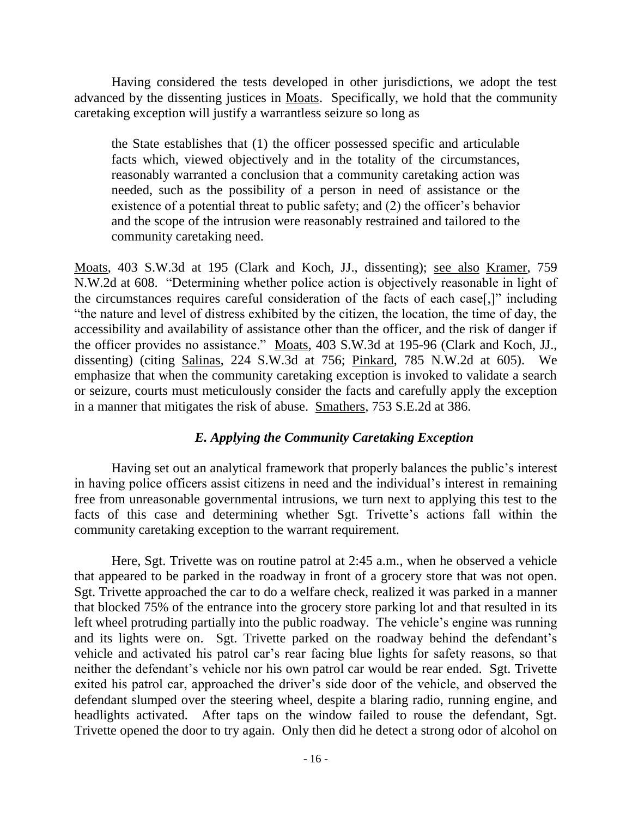Having considered the tests developed in other jurisdictions, we adopt the test advanced by the dissenting justices in Moats. Specifically, we hold that the community caretaking exception will justify a warrantless seizure so long as

the State establishes that (1) the officer possessed specific and articulable facts which, viewed objectively and in the totality of the circumstances, reasonably warranted a conclusion that a community caretaking action was needed, such as the possibility of a person in need of assistance or the existence of a potential threat to public safety; and (2) the officer's behavior and the scope of the intrusion were reasonably restrained and tailored to the community caretaking need.

Moats, 403 S.W.3d at 195 (Clark and Koch, JJ., dissenting); see also Kramer, 759 N.W.2d at 608. "Determining whether police action is objectively reasonable in light of the circumstances requires careful consideration of the facts of each case[,]" including "the nature and level of distress exhibited by the citizen, the location, the time of day, the accessibility and availability of assistance other than the officer, and the risk of danger if the officer provides no assistance." Moats, 403 S.W.3d at 195-96 (Clark and Koch, JJ., dissenting) (citing Salinas, 224 S.W.3d at 756; Pinkard, 785 N.W.2d at 605). We emphasize that when the community caretaking exception is invoked to validate a search or seizure, courts must meticulously consider the facts and carefully apply the exception in a manner that mitigates the risk of abuse. Smathers, 753 S.E.2d at 386.

## *E. Applying the Community Caretaking Exception*

Having set out an analytical framework that properly balances the public's interest in having police officers assist citizens in need and the individual"s interest in remaining free from unreasonable governmental intrusions, we turn next to applying this test to the facts of this case and determining whether Sgt. Trivette"s actions fall within the community caretaking exception to the warrant requirement.

Here, Sgt. Trivette was on routine patrol at 2:45 a.m., when he observed a vehicle that appeared to be parked in the roadway in front of a grocery store that was not open. Sgt. Trivette approached the car to do a welfare check, realized it was parked in a manner that blocked 75% of the entrance into the grocery store parking lot and that resulted in its left wheel protruding partially into the public roadway. The vehicle's engine was running and its lights were on. Sgt. Trivette parked on the roadway behind the defendant"s vehicle and activated his patrol car"s rear facing blue lights for safety reasons, so that neither the defendant"s vehicle nor his own patrol car would be rear ended. Sgt. Trivette exited his patrol car, approached the driver"s side door of the vehicle, and observed the defendant slumped over the steering wheel, despite a blaring radio, running engine, and headlights activated. After taps on the window failed to rouse the defendant, Sgt. Trivette opened the door to try again. Only then did he detect a strong odor of alcohol on